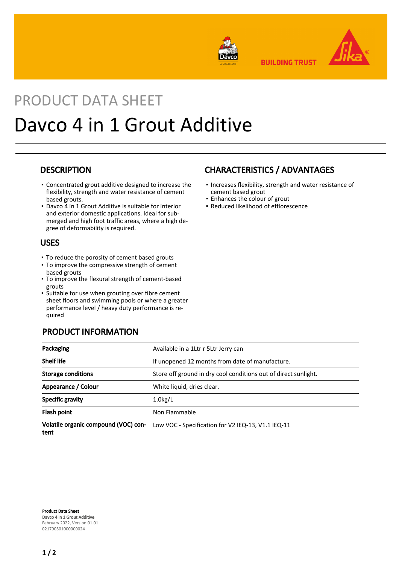

**BUILDING TRUST** 



# PRODUCT DATA SHEET Davco 4 in 1 Grout Additive

## **DESCRIPTION**

- Concentrated grout additive designed to increase the flexibility, strength and water resistance of cement based grouts.
- Davco 4 in 1 Grout Additive is suitable for interior and exterior domestic applications. Ideal for submerged and high foot traffic areas, where a high degree of deformability is required.

## USES

- To reduce the porosity of cement based grouts
- To improve the compressive strength of cement based grouts
- To improve the flexural strength of cement-based grouts
- **·** Suitable for use when grouting over fibre cement sheet floors and swimming pools or where a greater performance level / heavy duty performance is required

# PRODUCT INFORMATION

# CHARACTERISTICS / ADVANTAGES

- **.** Increases flexibility, strength and water resistance of cement based grout
- Enhances the colour of grout
- Reduced likelihood of efflorescence

| Packaging                                    | Available in a 1Ltr r 5Ltr Jerry can                            |  |
|----------------------------------------------|-----------------------------------------------------------------|--|
| <b>Shelf life</b>                            | If unopened 12 months from date of manufacture.                 |  |
| <b>Storage conditions</b>                    | Store off ground in dry cool conditions out of direct sunlight. |  |
| Appearance / Colour                          | White liquid, dries clear.                                      |  |
| <b>Specific gravity</b>                      | $1.0$ kg/L                                                      |  |
| Flash point                                  | Non Flammable                                                   |  |
| Volatile organic compound (VOC) con-<br>tent | Low VOC - Specification for V2 IEQ-13, V1.1 IEQ-11              |  |

Product Data Sheet Davco 4 in 1 Grout Additive February 2022, Version 01.01 021790501000000024